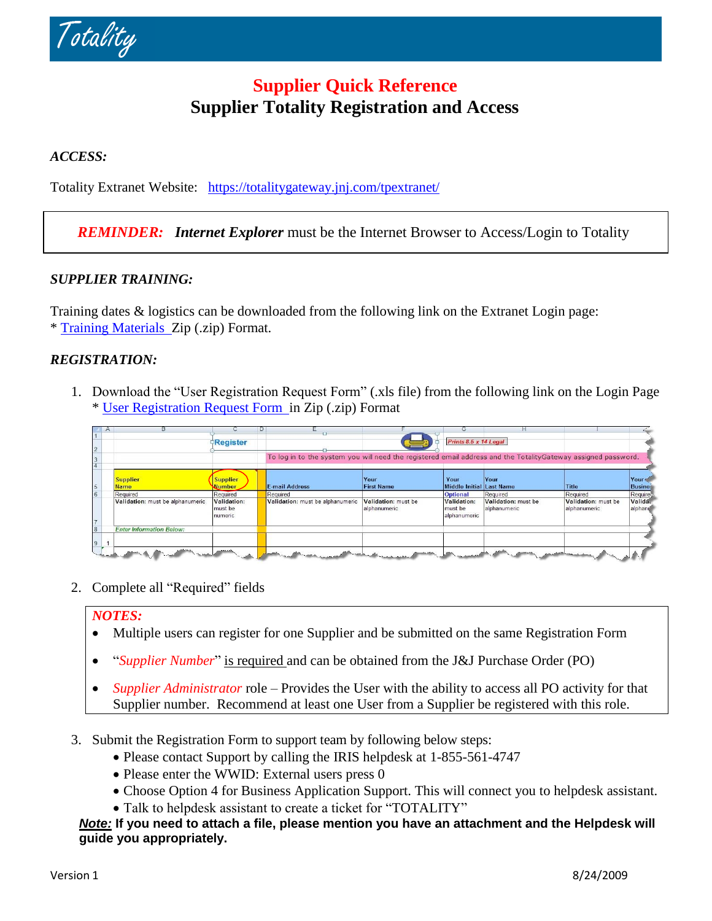

# **Supplier Quick Reference Supplier Totality Registration and Access**

### *ACCESS:*

Totality Extranet Website: <https://totalitygateway.jnj.com/tpextranet/>

## *REMINDER: Internet Explorer* must be the Internet Browser to Access/Login to Totality

#### *SUPPLIER TRAINING:*

Training dates & logistics can be downloaded from the following link on the Extranet Login page: \* Training [Materials](https://totalitygateway.jnj.com/tpextranet/downloadFile?dir=login.dwnldfl.dir&fl=Training%20Material.zip) Zip (.zip) Format.

#### *REGISTRATION:*

1. Download the "User Registration Request Form" (.xls file) from the following link on the Login Page \* [User Registration Request Form](https://totalitygateway.jnj.com/tpextranet/downloadFile?dir=login.dwnldfl.dir&fl=User%20Registration%20Request%20Form.zip) in Zip (.zip) Format

| $\forall$      | н                                |                                   | $\cup$ |                                                                                                               |                                     |                                               |                                     |                                     |                        |
|----------------|----------------------------------|-----------------------------------|--------|---------------------------------------------------------------------------------------------------------------|-------------------------------------|-----------------------------------------------|-------------------------------------|-------------------------------------|------------------------|
| $\overline{2}$ |                                  | Register                          |        |                                                                                                               |                                     | Prints 8.5 x 14 Legal                         |                                     |                                     |                        |
| 3              |                                  |                                   |        | To log in to the system you will need the registered email address and the TotalityGateway assigned password. |                                     |                                               |                                     |                                     |                        |
| 5              | <b>Supplier</b><br><b>Name</b>   | <b>Supplier</b><br><b>Jumber</b>  |        | <b>E-mail Address</b>                                                                                         | Your<br><b>First Name</b>           | Your<br>Middle Initial Last Name              | Your                                | <b>Title</b>                        | Your<br><b>Busines</b> |
| $6\phantom{a}$ | Required                         | Required                          |        | Required                                                                                                      |                                     | <b>Optional</b>                               | Required                            | Required                            | Required               |
| $\overline{7}$ | Validation: must be alphanumeric | Validation:<br>must be<br>numeric |        | Validation: must be alphanumeric                                                                              | Validation: must be<br>alphanumeric | <b>Validation:</b><br>must be<br>alphanumeric | Validation: must be<br>alphanumeric | Validation: must be<br>alphanumeric | Validá.<br>alphant     |
| 8              | <b>Enter Information Below:</b>  |                                   |        |                                                                                                               |                                     |                                               |                                     |                                     |                        |
| 9              |                                  |                                   |        |                                                                                                               |                                     |                                               |                                     |                                     |                        |
|                |                                  | -----                             |        |                                                                                                               | mark and the company of             |                                               |                                     | an interferometric company          |                        |

2. Complete all "Required" fields

#### *NOTES:*

- Multiple users can register for one Supplier and be submitted on the same Registration Form
- "*Supplier Number*" is required and can be obtained from the J&J Purchase Order (PO)
- *Supplier Administrator* role Provides the User with the ability to access all PO activity for that Supplier number. Recommend at least one User from a Supplier be registered with this role.
- 3. Submit the Registration Form to support team by following below steps:
	- Please contact Support by calling the IRIS helpdesk at 1-855-561-4747
	- Please enter the WWID: External users press 0
	- Choose Option 4 for Business Application Support. This will connect you to helpdesk assistant.
	- Talk to helpdesk assistant to create a ticket for "TOTALITY"

#### *Note:* **If you need to attach a file, please mention you have an attachment and the Helpdesk will guide you appropriately.**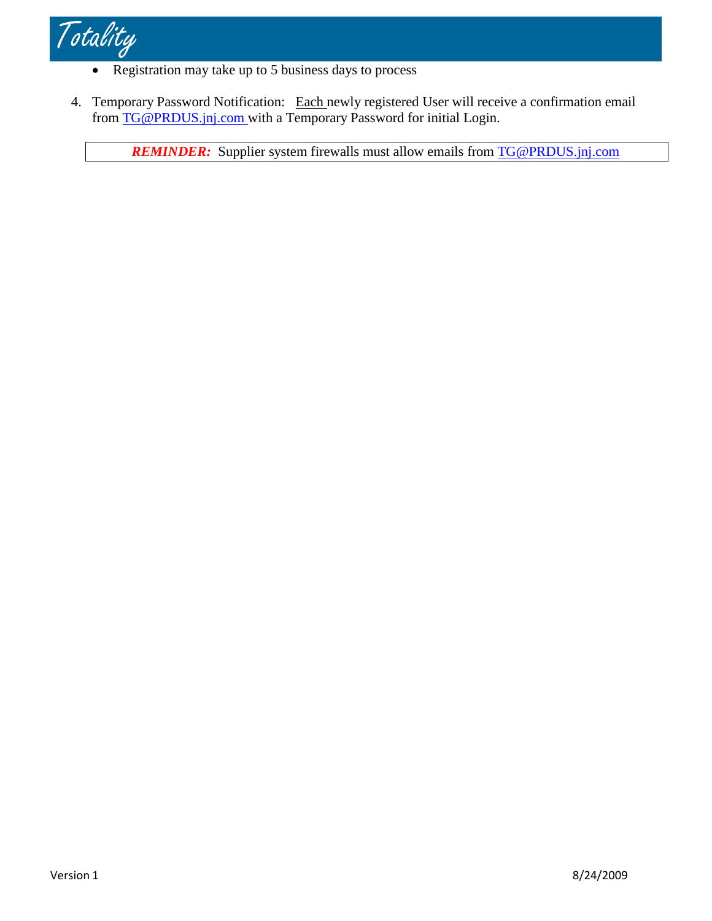

- Registration may take up to 5 business days to process
- 4. Temporary Password Notification: Each newly registered User will receive a confirmation email from [TG@PRDUS.jnj.com](mailto:TG@PRDUS.jnj.com) with a Temporary Password for initial Login.

**REMINDER:** Supplier system firewalls must allow emails from **[TG@PRDUS.jnj.com](mailto:TG@PRDUS.jnj.com)**